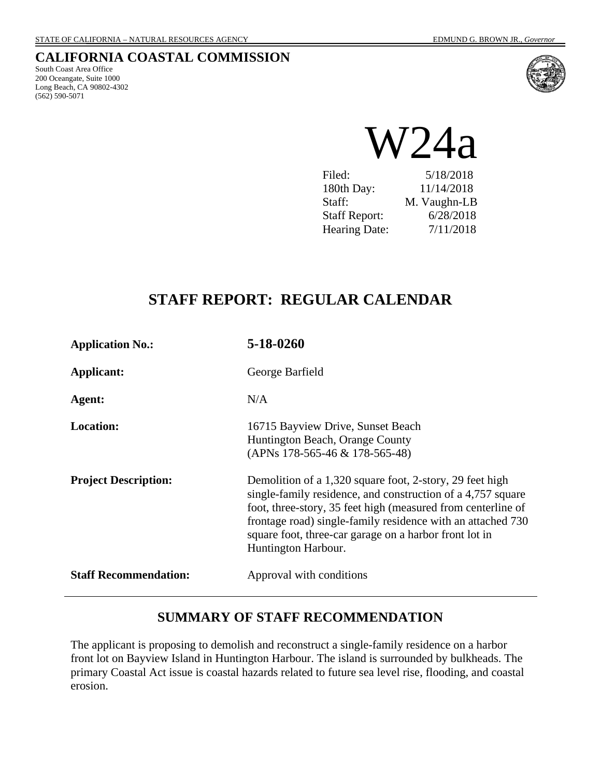# **CALIFORNIA COASTAL COMMISSION**

South Coast Area Office 200 Oceangate, Suite 1000 Long Beach, CA 90802-4302 (562) 590-5071



 $W24a$ 

Filed: 5/18/2018 180th Day: 11/14/2018 Staff: M. Vaughn-LB Staff Report: 6/28/2018 Hearing Date: 7/11/2018

# **STAFF REPORT: REGULAR CALENDAR**

| <b>Application No.:</b>      | 5-18-0260                                                                                                                                                                                                                                                                                                                               |
|------------------------------|-----------------------------------------------------------------------------------------------------------------------------------------------------------------------------------------------------------------------------------------------------------------------------------------------------------------------------------------|
| Applicant:                   | George Barfield                                                                                                                                                                                                                                                                                                                         |
| Agent:                       | N/A                                                                                                                                                                                                                                                                                                                                     |
| <b>Location:</b>             | 16715 Bayview Drive, Sunset Beach<br>Huntington Beach, Orange County<br>(APNs 178-565-46 & 178-565-48)                                                                                                                                                                                                                                  |
| <b>Project Description:</b>  | Demolition of a 1,320 square foot, 2-story, 29 feet high<br>single-family residence, and construction of a 4,757 square<br>foot, three-story, 35 feet high (measured from centerline of<br>frontage road) single-family residence with an attached 730<br>square foot, three-car garage on a harbor front lot in<br>Huntington Harbour. |
| <b>Staff Recommendation:</b> | Approval with conditions                                                                                                                                                                                                                                                                                                                |

# **SUMMARY OF STAFF RECOMMENDATION**

The applicant is proposing to demolish and reconstruct a single-family residence on a harbor front lot on Bayview Island in Huntington Harbour. The island is surrounded by bulkheads. The primary Coastal Act issue is coastal hazards related to future sea level rise, flooding, and coastal erosion.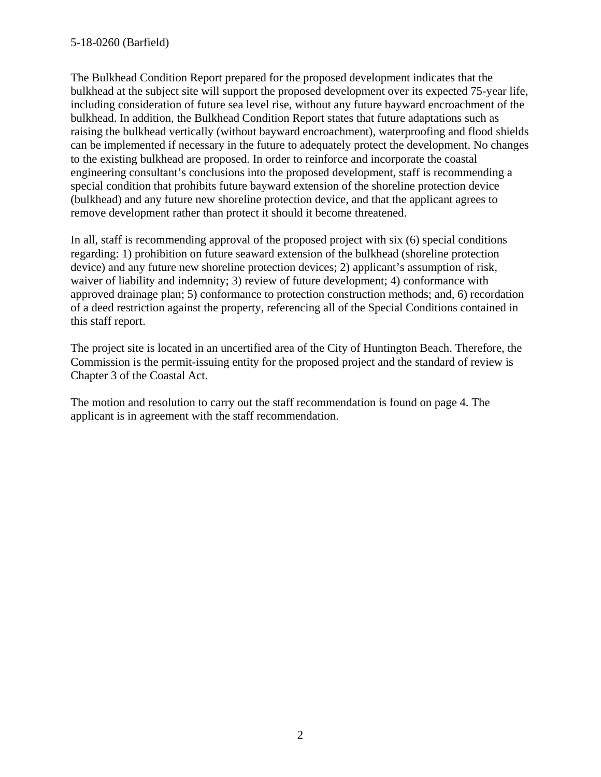The Bulkhead Condition Report prepared for the proposed development indicates that the bulkhead at the subject site will support the proposed development over its expected 75-year life, including consideration of future sea level rise, without any future bayward encroachment of the bulkhead. In addition, the Bulkhead Condition Report states that future adaptations such as raising the bulkhead vertically (without bayward encroachment), waterproofing and flood shields can be implemented if necessary in the future to adequately protect the development. No changes to the existing bulkhead are proposed. In order to reinforce and incorporate the coastal engineering consultant's conclusions into the proposed development, staff is recommending a special condition that prohibits future bayward extension of the shoreline protection device (bulkhead) and any future new shoreline protection device, and that the applicant agrees to remove development rather than protect it should it become threatened.

In all, staff is recommending approval of the proposed project with six (6) special conditions regarding: 1) prohibition on future seaward extension of the bulkhead (shoreline protection device) and any future new shoreline protection devices; 2) applicant's assumption of risk, waiver of liability and indemnity; 3) review of future development; 4) conformance with approved drainage plan; 5) conformance to protection construction methods; and, 6) recordation of a deed restriction against the property, referencing all of the Special Conditions contained in this staff report.

The project site is located in an uncertified area of the City of Huntington Beach. Therefore, the Commission is the permit-issuing entity for the proposed project and the standard of review is Chapter 3 of the Coastal Act.

The motion and resolution to carry out the staff recommendation is found on page 4. The applicant is in agreement with the staff recommendation.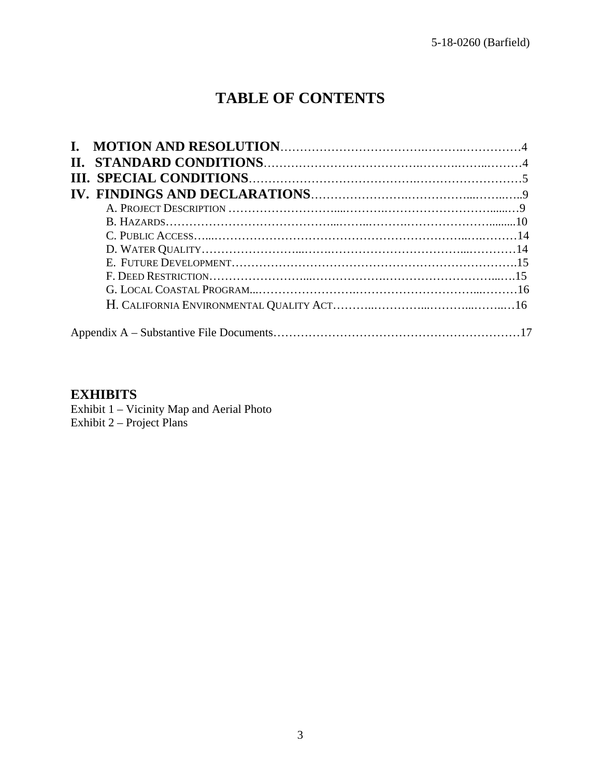# **TABLE OF CONTENTS**

### **EXHIBITS**

Exhibit 1 – Vicinity Map and Aerial Photo Exhibit 2 – Project Plans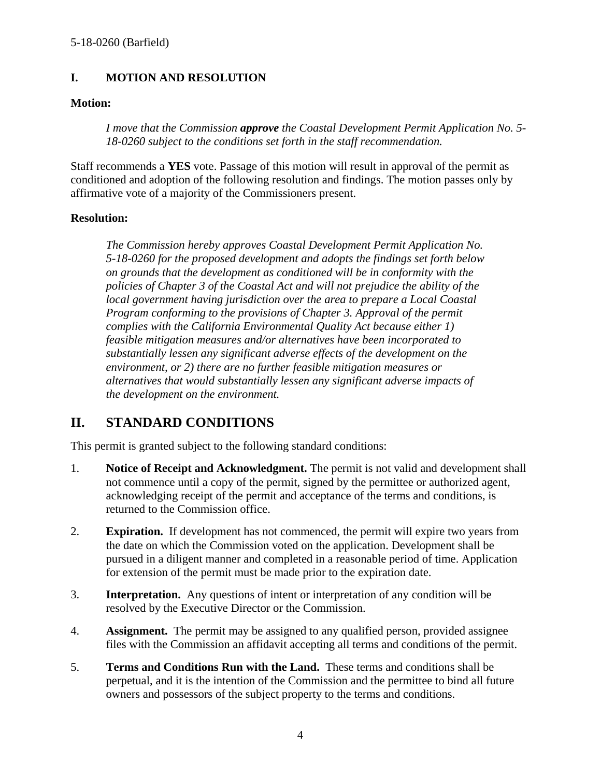### **I. MOTION AND RESOLUTION**

#### **Motion:**

*I move that the Commission approve the Coastal Development Permit Application No. 5- 18-0260 subject to the conditions set forth in the staff recommendation.*

Staff recommends a **YES** vote. Passage of this motion will result in approval of the permit as conditioned and adoption of the following resolution and findings. The motion passes only by affirmative vote of a majority of the Commissioners present.

### **Resolution:**

*The Commission hereby approves Coastal Development Permit Application No. 5-18-0260 for the proposed development and adopts the findings set forth below on grounds that the development as conditioned will be in conformity with the policies of Chapter 3 of the Coastal Act and will not prejudice the ability of the local government having jurisdiction over the area to prepare a Local Coastal Program conforming to the provisions of Chapter 3. Approval of the permit complies with the California Environmental Quality Act because either 1) feasible mitigation measures and/or alternatives have been incorporated to substantially lessen any significant adverse effects of the development on the environment, or 2) there are no further feasible mitigation measures or alternatives that would substantially lessen any significant adverse impacts of the development on the environment.* 

# **II. STANDARD CONDITIONS**

This permit is granted subject to the following standard conditions:

- 1. **Notice of Receipt and Acknowledgment.** The permit is not valid and development shall not commence until a copy of the permit, signed by the permittee or authorized agent, acknowledging receipt of the permit and acceptance of the terms and conditions, is returned to the Commission office.
- 2. **Expiration.** If development has not commenced, the permit will expire two years from the date on which the Commission voted on the application. Development shall be pursued in a diligent manner and completed in a reasonable period of time. Application for extension of the permit must be made prior to the expiration date.
- 3. **Interpretation.** Any questions of intent or interpretation of any condition will be resolved by the Executive Director or the Commission.
- 4. **Assignment.** The permit may be assigned to any qualified person, provided assignee files with the Commission an affidavit accepting all terms and conditions of the permit.
- 5. **Terms and Conditions Run with the Land.** These terms and conditions shall be perpetual, and it is the intention of the Commission and the permittee to bind all future owners and possessors of the subject property to the terms and conditions.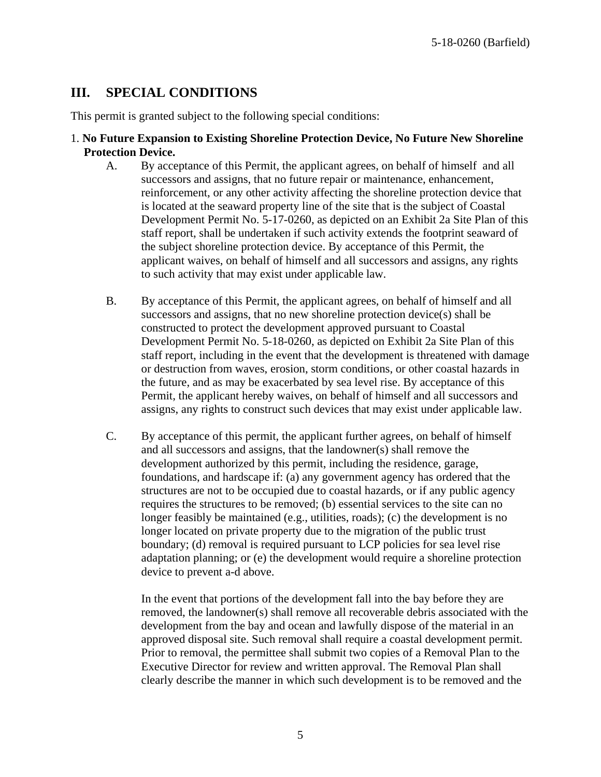# **III. SPECIAL CONDITIONS**

This permit is granted subject to the following special conditions:

- 1. **No Future Expansion to Existing Shoreline Protection Device, No Future New Shoreline Protection Device.**
	- A. By acceptance of this Permit, the applicant agrees, on behalf of himself and all successors and assigns, that no future repair or maintenance, enhancement, reinforcement, or any other activity affecting the shoreline protection device that is located at the seaward property line of the site that is the subject of Coastal Development Permit No. 5-17-0260, as depicted on an Exhibit 2a Site Plan of this staff report, shall be undertaken if such activity extends the footprint seaward of the subject shoreline protection device. By acceptance of this Permit, the applicant waives, on behalf of himself and all successors and assigns, any rights to such activity that may exist under applicable law.
	- B. By acceptance of this Permit, the applicant agrees, on behalf of himself and all successors and assigns, that no new shoreline protection device(s) shall be constructed to protect the development approved pursuant to Coastal Development Permit No. 5-18-0260, as depicted on Exhibit 2a Site Plan of this staff report, including in the event that the development is threatened with damage or destruction from waves, erosion, storm conditions, or other coastal hazards in the future, and as may be exacerbated by sea level rise. By acceptance of this Permit, the applicant hereby waives, on behalf of himself and all successors and assigns, any rights to construct such devices that may exist under applicable law.
	- C. By acceptance of this permit, the applicant further agrees, on behalf of himself and all successors and assigns, that the landowner(s) shall remove the development authorized by this permit, including the residence, garage, foundations, and hardscape if: (a) any government agency has ordered that the structures are not to be occupied due to coastal hazards, or if any public agency requires the structures to be removed; (b) essential services to the site can no longer feasibly be maintained (e.g., utilities, roads); (c) the development is no longer located on private property due to the migration of the public trust boundary; (d) removal is required pursuant to LCP policies for sea level rise adaptation planning; or (e) the development would require a shoreline protection device to prevent a-d above.

In the event that portions of the development fall into the bay before they are removed, the landowner(s) shall remove all recoverable debris associated with the development from the bay and ocean and lawfully dispose of the material in an approved disposal site. Such removal shall require a coastal development permit. Prior to removal, the permittee shall submit two copies of a Removal Plan to the Executive Director for review and written approval. The Removal Plan shall clearly describe the manner in which such development is to be removed and the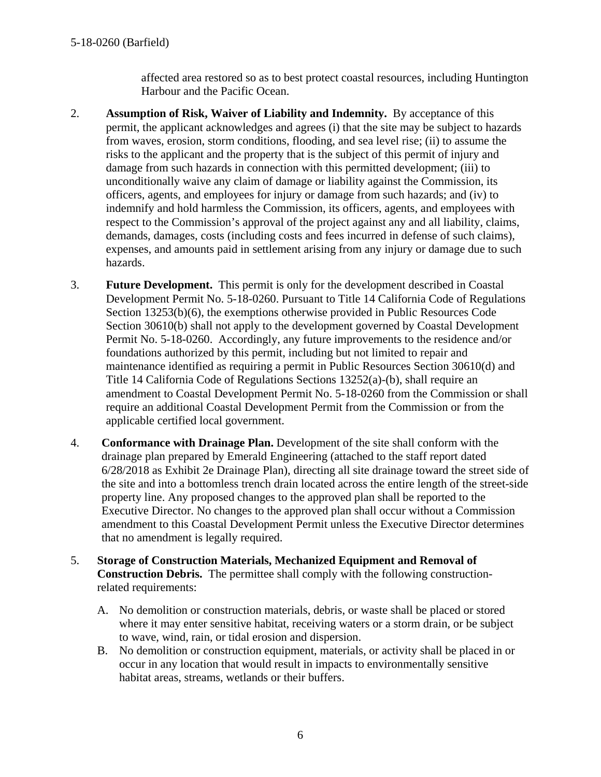#### 5-18-0260 (Barfield)

affected area restored so as to best protect coastal resources, including Huntington Harbour and the Pacific Ocean.

- 2. **Assumption of Risk, Waiver of Liability and Indemnity.** By acceptance of this permit, the applicant acknowledges and agrees (i) that the site may be subject to hazards from waves, erosion, storm conditions, flooding, and sea level rise; (ii) to assume the risks to the applicant and the property that is the subject of this permit of injury and damage from such hazards in connection with this permitted development; (iii) to unconditionally waive any claim of damage or liability against the Commission, its officers, agents, and employees for injury or damage from such hazards; and (iv) to indemnify and hold harmless the Commission, its officers, agents, and employees with respect to the Commission's approval of the project against any and all liability, claims, demands, damages, costs (including costs and fees incurred in defense of such claims), expenses, and amounts paid in settlement arising from any injury or damage due to such hazards.
- 3. **Future Development.** This permit is only for the development described in Coastal Development Permit No. 5-18-0260. Pursuant to Title 14 California Code of Regulations Section 13253(b)(6), the exemptions otherwise provided in Public Resources Code Section 30610(b) shall not apply to the development governed by Coastal Development Permit No. 5-18-0260. Accordingly, any future improvements to the residence and/or foundations authorized by this permit, including but not limited to repair and maintenance identified as requiring a permit in Public Resources Section 30610(d) and Title 14 California Code of Regulations Sections 13252(a)-(b), shall require an amendment to Coastal Development Permit No. 5-18-0260 from the Commission or shall require an additional Coastal Development Permit from the Commission or from the applicable certified local government.
- 4. **Conformance with Drainage Plan.** Development of the site shall conform with the drainage plan prepared by Emerald Engineering (attached to the staff report dated 6/28/2018 as Exhibit 2e Drainage Plan), directing all site drainage toward the street side of the site and into a bottomless trench drain located across the entire length of the street-side property line. Any proposed changes to the approved plan shall be reported to the Executive Director. No changes to the approved plan shall occur without a Commission amendment to this Coastal Development Permit unless the Executive Director determines that no amendment is legally required.
- 5. **Storage of Construction Materials, Mechanized Equipment and Removal of Construction Debris.** The permittee shall comply with the following constructionrelated requirements:
	- A. No demolition or construction materials, debris, or waste shall be placed or stored where it may enter sensitive habitat, receiving waters or a storm drain, or be subject to wave, wind, rain, or tidal erosion and dispersion.
	- B. No demolition or construction equipment, materials, or activity shall be placed in or occur in any location that would result in impacts to environmentally sensitive habitat areas, streams, wetlands or their buffers.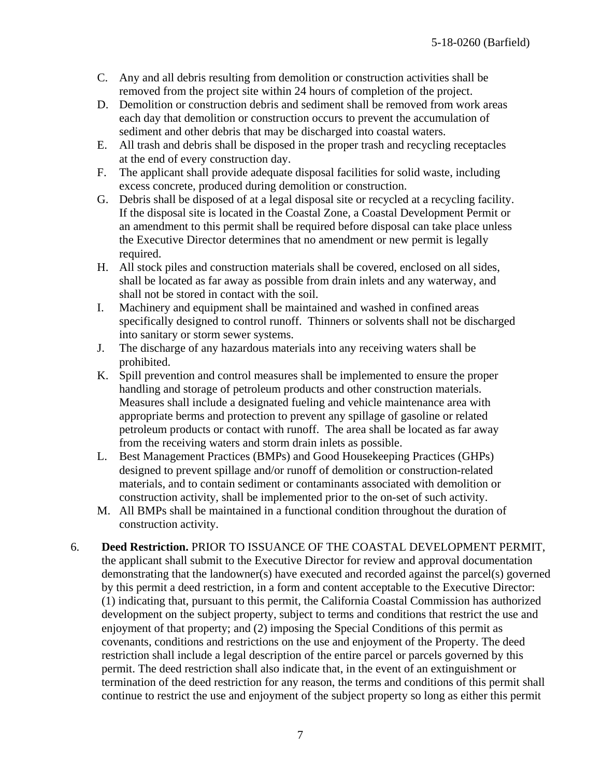- C. Any and all debris resulting from demolition or construction activities shall be removed from the project site within 24 hours of completion of the project.
- D. Demolition or construction debris and sediment shall be removed from work areas each day that demolition or construction occurs to prevent the accumulation of sediment and other debris that may be discharged into coastal waters.
- E. All trash and debris shall be disposed in the proper trash and recycling receptacles at the end of every construction day.
- F. The applicant shall provide adequate disposal facilities for solid waste, including excess concrete, produced during demolition or construction.
- G. Debris shall be disposed of at a legal disposal site or recycled at a recycling facility. If the disposal site is located in the Coastal Zone, a Coastal Development Permit or an amendment to this permit shall be required before disposal can take place unless the Executive Director determines that no amendment or new permit is legally required.
- H. All stock piles and construction materials shall be covered, enclosed on all sides, shall be located as far away as possible from drain inlets and any waterway, and shall not be stored in contact with the soil.
- I. Machinery and equipment shall be maintained and washed in confined areas specifically designed to control runoff. Thinners or solvents shall not be discharged into sanitary or storm sewer systems.
- J. The discharge of any hazardous materials into any receiving waters shall be prohibited.
- K. Spill prevention and control measures shall be implemented to ensure the proper handling and storage of petroleum products and other construction materials. Measures shall include a designated fueling and vehicle maintenance area with appropriate berms and protection to prevent any spillage of gasoline or related petroleum products or contact with runoff. The area shall be located as far away from the receiving waters and storm drain inlets as possible.
- L. Best Management Practices (BMPs) and Good Housekeeping Practices (GHPs) designed to prevent spillage and/or runoff of demolition or construction-related materials, and to contain sediment or contaminants associated with demolition or construction activity, shall be implemented prior to the on-set of such activity.
- M. All BMPs shall be maintained in a functional condition throughout the duration of construction activity.
- 6. **Deed Restriction.** PRIOR TO ISSUANCE OF THE COASTAL DEVELOPMENT PERMIT, the applicant shall submit to the Executive Director for review and approval documentation demonstrating that the landowner(s) have executed and recorded against the parcel(s) governed by this permit a deed restriction, in a form and content acceptable to the Executive Director: (1) indicating that, pursuant to this permit, the California Coastal Commission has authorized development on the subject property, subject to terms and conditions that restrict the use and enjoyment of that property; and (2) imposing the Special Conditions of this permit as covenants, conditions and restrictions on the use and enjoyment of the Property. The deed restriction shall include a legal description of the entire parcel or parcels governed by this permit. The deed restriction shall also indicate that, in the event of an extinguishment or termination of the deed restriction for any reason, the terms and conditions of this permit shall continue to restrict the use and enjoyment of the subject property so long as either this permit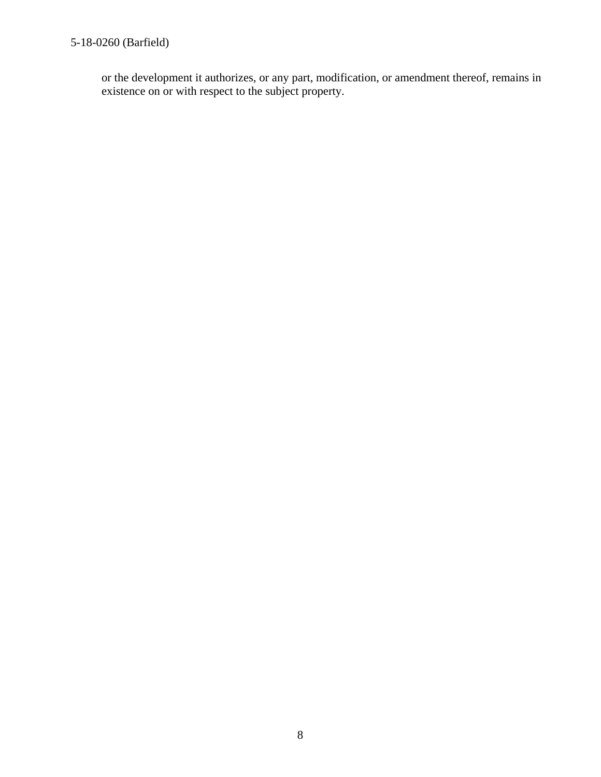# 5-18-0260 (Barfield)

or the development it authorizes, or any part, modification, or amendment thereof, remains in existence on or with respect to the subject property.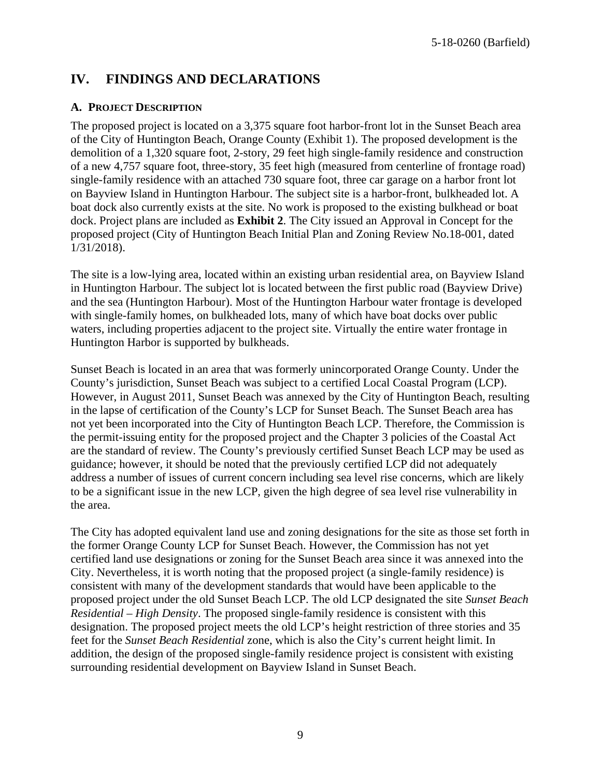# **IV. FINDINGS AND DECLARATIONS**

#### **A. PROJECT DESCRIPTION**

The proposed project is located on a 3,375 square foot harbor-front lot in the Sunset Beach area of the City of Huntington Beach, Orange County (Exhibit 1). The proposed development is the demolition of a 1,320 square foot, 2-story, 29 feet high single-family residence and construction of a new 4,757 square foot, three-story, 35 feet high (measured from centerline of frontage road) single-family residence with an attached 730 square foot, three car garage on a harbor front lot on Bayview Island in Huntington Harbour. The subject site is a harbor-front, bulkheaded lot. A boat dock also currently exists at the site. No work is proposed to the existing bulkhead or boat dock. Project plans are included as **Exhibit 2**. The City issued an Approval in Concept for the proposed project (City of Huntington Beach Initial Plan and Zoning Review No.18-001, dated 1/31/2018).

The site is a low-lying area, located within an existing urban residential area, on Bayview Island in Huntington Harbour. The subject lot is located between the first public road (Bayview Drive) and the sea (Huntington Harbour). Most of the Huntington Harbour water frontage is developed with single-family homes, on bulkheaded lots, many of which have boat docks over public waters, including properties adjacent to the project site. Virtually the entire water frontage in Huntington Harbor is supported by bulkheads.

Sunset Beach is located in an area that was formerly unincorporated Orange County. Under the County's jurisdiction, Sunset Beach was subject to a certified Local Coastal Program (LCP). However, in August 2011, Sunset Beach was annexed by the City of Huntington Beach, resulting in the lapse of certification of the County's LCP for Sunset Beach. The Sunset Beach area has not yet been incorporated into the City of Huntington Beach LCP. Therefore, the Commission is the permit-issuing entity for the proposed project and the Chapter 3 policies of the Coastal Act are the standard of review. The County's previously certified Sunset Beach LCP may be used as guidance; however, it should be noted that the previously certified LCP did not adequately address a number of issues of current concern including sea level rise concerns, which are likely to be a significant issue in the new LCP, given the high degree of sea level rise vulnerability in the area.

The City has adopted equivalent land use and zoning designations for the site as those set forth in the former Orange County LCP for Sunset Beach. However, the Commission has not yet certified land use designations or zoning for the Sunset Beach area since it was annexed into the City. Nevertheless, it is worth noting that the proposed project (a single-family residence) is consistent with many of the development standards that would have been applicable to the proposed project under the old Sunset Beach LCP. The old LCP designated the site *Sunset Beach Residential – High Density*. The proposed single-family residence is consistent with this designation. The proposed project meets the old LCP's height restriction of three stories and 35 feet for the *Sunset Beach Residential* zone, which is also the City's current height limit. In addition, the design of the proposed single-family residence project is consistent with existing surrounding residential development on Bayview Island in Sunset Beach.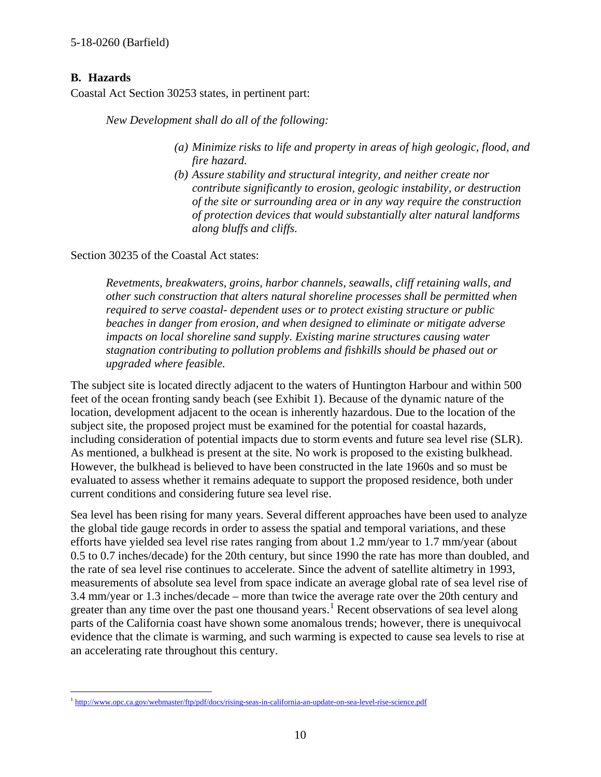### **B. Hazards**

Coastal Act Section 30253 states, in pertinent part:

*New Development shall do all of the following:* 

- *(a) Minimize risks to life and property in areas of high geologic, flood, and fire hazard.*
- *(b) Assure stability and structural integrity, and neither create nor contribute significantly to erosion, geologic instability, or destruction of the site or surrounding area or in any way require the construction of protection devices that would substantially alter natural landforms along bluffs and cliffs.*

Section 30235 of the Coastal Act states:

*Revetments, breakwaters, groins, harbor channels, seawalls, cliff retaining walls, and other such construction that alters natural shoreline processes shall be permitted when required to serve coastal- dependent uses or to protect existing structure or public beaches in danger from erosion, and when designed to eliminate or mitigate adverse impacts on local shoreline sand supply. Existing marine structures causing water stagnation contributing to pollution problems and fishkills should be phased out or upgraded where feasible.* 

The subject site is located directly adjacent to the waters of Huntington Harbour and within 500 feet of the ocean fronting sandy beach (see Exhibit 1). Because of the dynamic nature of the location, development adjacent to the ocean is inherently hazardous. Due to the location of the subject site, the proposed project must be examined for the potential for coastal hazards, including consideration of potential impacts due to storm events and future sea level rise (SLR). As mentioned, a bulkhead is present at the site. No work is proposed to the existing bulkhead. However, the bulkhead is believed to have been constructed in the late 1960s and so must be evaluated to assess whether it remains adequate to support the proposed residence, both under current conditions and considering future sea level rise.

Sea level has been rising for many years. Several different approaches have been used to analyze the global tide gauge records in order to assess the spatial and temporal variations, and these efforts have yielded sea level rise rates ranging from about 1.2 mm/year to 1.7 mm/year (about 0.5 to 0.7 inches/decade) for the 20th century, but since 1990 the rate has more than doubled, and the rate of sea level rise continues to accelerate. Since the advent of satellite altimetry in 1993, measurements of absolute sea level from space indicate an average global rate of sea level rise of 3.4 mm/year or 1.3 inches/decade – more than twice the average rate over the 20th century and greater than any time over the past one thousand years.<sup>[1](#page-9-0)</sup> Recent observations of sea level along parts of the California coast have shown some anomalous trends; however, there is unequivocal evidence that the climate is warming, and such warming is expected to cause sea levels to rise at an accelerating rate throughout this century.

<span id="page-9-0"></span> $\overline{a}$ <sup>1</sup> <http://www.opc.ca.gov/webmaster/ftp/pdf/docs/rising-seas-in-california-an-update-on-sea-level-rise-science.pdf>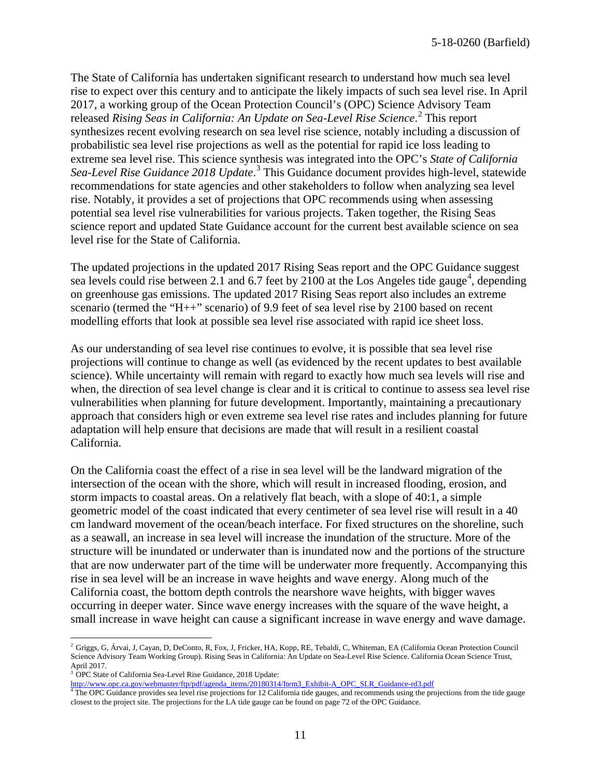The State of California has undertaken significant research to understand how much sea level rise to expect over this century and to anticipate the likely impacts of such sea level rise. In April 2017, a working group of the Ocean Protection Council's (OPC) Science Advisory Team released *Rising Seas in California: An Update on Sea-Level Rise Science*. [2](#page-10-0) This report synthesizes recent evolving research on sea level rise science, notably including a discussion of probabilistic sea level rise projections as well as the potential for rapid ice loss leading to extreme sea level rise. This science synthesis was integrated into the OPC's *State of California*  Sea-Level Rise Guidance 2018 Update.<sup>[3](#page-10-1)</sup> This Guidance document provides high-level, statewide recommendations for state agencies and other stakeholders to follow when analyzing sea level rise. Notably, it provides a set of projections that OPC recommends using when assessing potential sea level rise vulnerabilities for various projects. Taken together, the Rising Seas science report and updated State Guidance account for the current best available science on sea level rise for the State of California.

The updated projections in the updated 2017 Rising Seas report and the OPC Guidance suggest sea levels could rise between 2.1 and 6.7 feet by 2100 at the Los Angeles tide gauge<sup>[4](#page-10-2)</sup>, depending on greenhouse gas emissions. The updated 2017 Rising Seas report also includes an extreme scenario (termed the "H++" scenario) of 9.9 feet of sea level rise by 2100 based on recent modelling efforts that look at possible sea level rise associated with rapid ice sheet loss.

As our understanding of sea level rise continues to evolve, it is possible that sea level rise projections will continue to change as well (as evidenced by the recent updates to best available science). While uncertainty will remain with regard to exactly how much sea levels will rise and when, the direction of sea level change is clear and it is critical to continue to assess sea level rise vulnerabilities when planning for future development. Importantly, maintaining a precautionary approach that considers high or even extreme sea level rise rates and includes planning for future adaptation will help ensure that decisions are made that will result in a resilient coastal California.

On the California coast the effect of a rise in sea level will be the landward migration of the intersection of the ocean with the shore, which will result in increased flooding, erosion, and storm impacts to coastal areas. On a relatively flat beach, with a slope of 40:1, a simple geometric model of the coast indicated that every centimeter of sea level rise will result in a 40 cm landward movement of the ocean/beach interface. For fixed structures on the shoreline, such as a seawall, an increase in sea level will increase the inundation of the structure. More of the structure will be inundated or underwater than is inundated now and the portions of the structure that are now underwater part of the time will be underwater more frequently. Accompanying this rise in sea level will be an increase in wave heights and wave energy. Along much of the California coast, the bottom depth controls the nearshore wave heights, with bigger waves occurring in deeper water. Since wave energy increases with the square of the wave height, a small increase in wave height can cause a significant increase in wave energy and wave damage.

 $\overline{a}$ 

<span id="page-10-0"></span><sup>&</sup>lt;sup>2</sup> Griggs, G, Árvai, J, Cayan, D, DeConto, R, Fox, J, Fricker, HA, Kopp, RE, Tebaldi, C, Whiteman, EA (California Ocean Protection Council Science Advisory Team Working Group). Rising Seas in California: An Update on Sea-Level Rise Science. California Ocean Science Trust, April 2017.

<sup>&</sup>lt;sup>3</sup> OPC State of California Sea-Level Rise Guidance, 2018 Update:

<span id="page-10-2"></span><span id="page-10-1"></span>[http://www.opc.ca.gov/webmaster/ftp/pdf/agenda\\_items/20180314/Item3\\_Exhibit-A\\_OPC\\_SLR\\_Guidance-rd3.pdf](http://www.opc.ca.gov/webmaster/ftp/pdf/agenda_items/20180314/Item3_Exhibit-A_OPC_SLR_Guidance-rd3.pdf)<br><sup>4</sup> The OPC Guidance provides sea level rise projections for 12 California tide gauges, and recommends using the projec closest to the project site. The projections for the LA tide gauge can be found on page 72 of the OPC Guidance.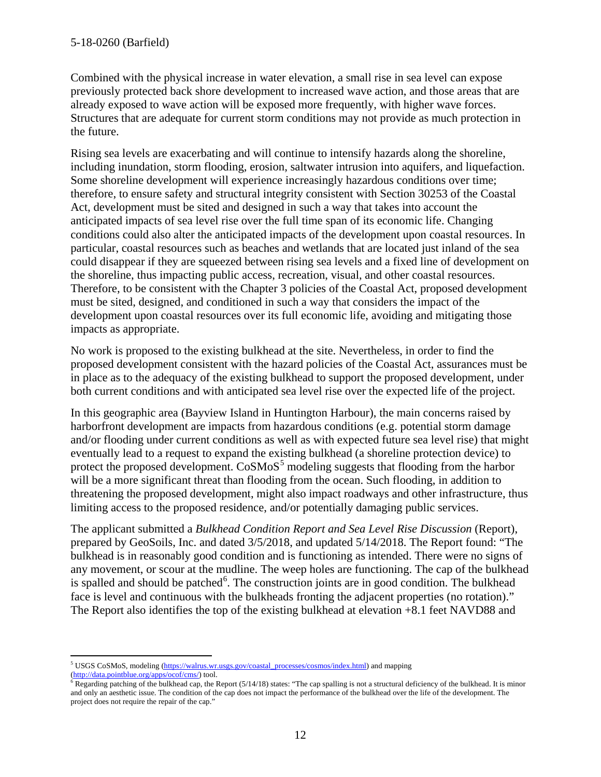Combined with the physical increase in water elevation, a small rise in sea level can expose previously protected back shore development to increased wave action, and those areas that are already exposed to wave action will be exposed more frequently, with higher wave forces. Structures that are adequate for current storm conditions may not provide as much protection in the future.

Rising sea levels are exacerbating and will continue to intensify hazards along the shoreline, including inundation, storm flooding, erosion, saltwater intrusion into aquifers, and liquefaction. Some shoreline development will experience increasingly hazardous conditions over time; therefore, to ensure safety and structural integrity consistent with Section 30253 of the Coastal Act, development must be sited and designed in such a way that takes into account the anticipated impacts of sea level rise over the full time span of its economic life. Changing conditions could also alter the anticipated impacts of the development upon coastal resources. In particular, coastal resources such as beaches and wetlands that are located just inland of the sea could disappear if they are squeezed between rising sea levels and a fixed line of development on the shoreline, thus impacting public access, recreation, visual, and other coastal resources. Therefore, to be consistent with the Chapter 3 policies of the Coastal Act, proposed development must be sited, designed, and conditioned in such a way that considers the impact of the development upon coastal resources over its full economic life, avoiding and mitigating those impacts as appropriate.

No work is proposed to the existing bulkhead at the site. Nevertheless, in order to find the proposed development consistent with the hazard policies of the Coastal Act, assurances must be in place as to the adequacy of the existing bulkhead to support the proposed development, under both current conditions and with anticipated sea level rise over the expected life of the project.

In this geographic area (Bayview Island in Huntington Harbour), the main concerns raised by harborfront development are impacts from hazardous conditions (e.g. potential storm damage and/or flooding under current conditions as well as with expected future sea level rise) that might eventually lead to a request to expand the existing bulkhead (a shoreline protection device) to protect the proposed development. CoSMoS<sup>[5](#page-11-0)</sup> modeling suggests that flooding from the harbor will be a more significant threat than flooding from the ocean. Such flooding, in addition to threatening the proposed development, might also impact roadways and other infrastructure, thus limiting access to the proposed residence, and/or potentially damaging public services.

The applicant submitted a *Bulkhead Condition Report and Sea Level Rise Discussion* (Report), prepared by GeoSoils, Inc. and dated 3/5/2018, and updated 5/14/2018. The Report found: "The bulkhead is in reasonably good condition and is functioning as intended. There were no signs of any movement, or scour at the mudline. The weep holes are functioning. The cap of the bulkhead is spalled and should be patched<sup>[6](#page-11-1)</sup>. The construction joints are in good condition. The bulkhead face is level and continuous with the bulkheads fronting the adjacent properties (no rotation)." The Report also identifies the top of the existing bulkhead at elevation +8.1 feet NAVD88 and

<span id="page-11-0"></span> $\overline{a}$ <sup>5</sup> USGS CoSMoS, modeling [\(https://walrus.wr.usgs.gov/coastal\\_processes/cosmos/index.html\)](https://walrus.wr.usgs.gov/coastal_processes/cosmos/index.html) and mapping [\(http://data.pointblue.org/apps/ocof/cms/\)](http://data.pointblue.org/apps/ocof/cms/) tool.<br><sup>6</sup> Regarding patching of the bulkhead cap, the Report (5/14/18) states: "The cap spalling is not a structural deficiency of the bulkhead. It is minor

<span id="page-11-1"></span>and only an aesthetic issue. The condition of the cap does not impact the performance of the bulkhead over the life of the development. The project does not require the repair of the cap."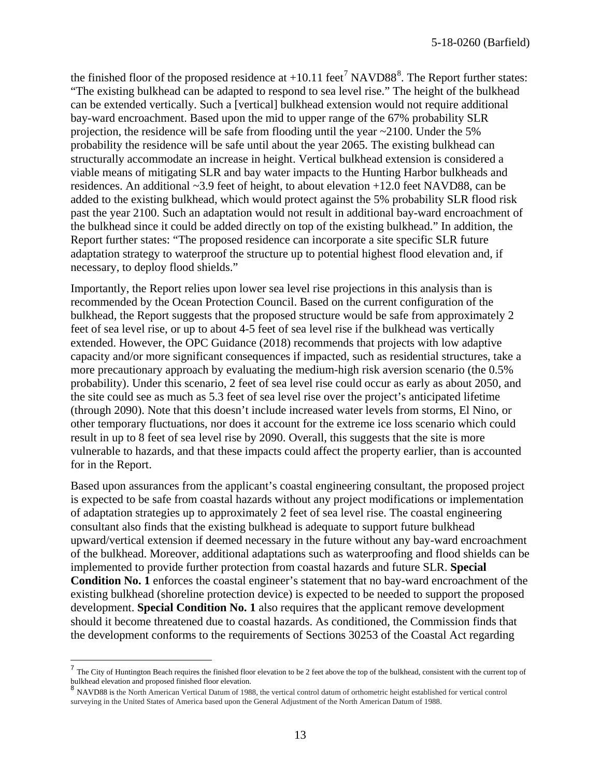the finished floor of the proposed residence at  $+10.11$  feet<sup>[7](#page-12-0)</sup> NAVD[8](#page-12-1)8<sup>8</sup>. The Report further states: "The existing bulkhead can be adapted to respond to sea level rise." The height of the bulkhead can be extended vertically. Such a [vertical] bulkhead extension would not require additional bay-ward encroachment. Based upon the mid to upper range of the 67% probability SLR projection, the residence will be safe from flooding until the year  $\sim$  2100. Under the 5% probability the residence will be safe until about the year 2065. The existing bulkhead can structurally accommodate an increase in height. Vertical bulkhead extension is considered a viable means of mitigating SLR and bay water impacts to the Hunting Harbor bulkheads and residences. An additional ~3.9 feet of height, to about elevation +12.0 feet NAVD88, can be added to the existing bulkhead, which would protect against the 5% probability SLR flood risk past the year 2100. Such an adaptation would not result in additional bay-ward encroachment of the bulkhead since it could be added directly on top of the existing bulkhead." In addition, the Report further states: "The proposed residence can incorporate a site specific SLR future adaptation strategy to waterproof the structure up to potential highest flood elevation and, if necessary, to deploy flood shields."

Importantly, the Report relies upon lower sea level rise projections in this analysis than is recommended by the Ocean Protection Council. Based on the current configuration of the bulkhead, the Report suggests that the proposed structure would be safe from approximately 2 feet of sea level rise, or up to about 4-5 feet of sea level rise if the bulkhead was vertically extended. However, the OPC Guidance (2018) recommends that projects with low adaptive capacity and/or more significant consequences if impacted, such as residential structures, take a more precautionary approach by evaluating the medium-high risk aversion scenario (the 0.5% probability). Under this scenario, 2 feet of sea level rise could occur as early as about 2050, and the site could see as much as 5.3 feet of sea level rise over the project's anticipated lifetime (through 2090). Note that this doesn't include increased water levels from storms, El Nino, or other temporary fluctuations, nor does it account for the extreme ice loss scenario which could result in up to 8 feet of sea level rise by 2090. Overall, this suggests that the site is more vulnerable to hazards, and that these impacts could affect the property earlier, than is accounted for in the Report.

Based upon assurances from the applicant's coastal engineering consultant, the proposed project is expected to be safe from coastal hazards without any project modifications or implementation of adaptation strategies up to approximately 2 feet of sea level rise. The coastal engineering consultant also finds that the existing bulkhead is adequate to support future bulkhead upward/vertical extension if deemed necessary in the future without any bay-ward encroachment of the bulkhead. Moreover, additional adaptations such as waterproofing and flood shields can be implemented to provide further protection from coastal hazards and future SLR. **Special Condition No. 1** enforces the coastal engineer's statement that no bay-ward encroachment of the existing bulkhead (shoreline protection device) is expected to be needed to support the proposed development. **Special Condition No. 1** also requires that the applicant remove development should it become threatened due to coastal hazards. As conditioned, the Commission finds that the development conforms to the requirements of Sections 30253 of the Coastal Act regarding

 $\overline{a}$ 

<span id="page-12-0"></span> $<sup>7</sup>$  The City of Huntington Beach requires the finished floor elevation to be 2 feet above the top of the bulkhead, consistent with the current top of</sup> bulkhead elevation and proposed finished floor elevation.<br><sup>8</sup> NAVD88 is the North American Vertical Datum of 1988, the vertical control datum of orthometric height established for vertical control

<span id="page-12-1"></span>surveying in the United States of America based upon the General Adjustment of the North American Datum of 1988.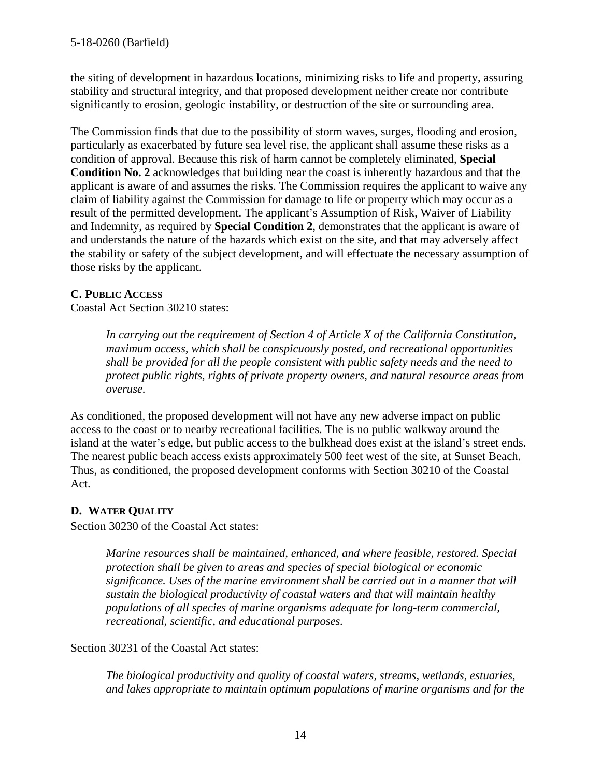the siting of development in hazardous locations, minimizing risks to life and property, assuring stability and structural integrity, and that proposed development neither create nor contribute significantly to erosion, geologic instability, or destruction of the site or surrounding area.

The Commission finds that due to the possibility of storm waves, surges, flooding and erosion, particularly as exacerbated by future sea level rise, the applicant shall assume these risks as a condition of approval. Because this risk of harm cannot be completely eliminated, **Special Condition No. 2** acknowledges that building near the coast is inherently hazardous and that the applicant is aware of and assumes the risks. The Commission requires the applicant to waive any claim of liability against the Commission for damage to life or property which may occur as a result of the permitted development. The applicant's Assumption of Risk, Waiver of Liability and Indemnity, as required by **Special Condition 2**, demonstrates that the applicant is aware of and understands the nature of the hazards which exist on the site, and that may adversely affect the stability or safety of the subject development, and will effectuate the necessary assumption of those risks by the applicant.

### **C. PUBLIC ACCESS**

Coastal Act Section 30210 states:

*In carrying out the requirement of Section 4 of Article X of the California Constitution, maximum access, which shall be conspicuously posted, and recreational opportunities shall be provided for all the people consistent with public safety needs and the need to protect public rights, rights of private property owners, and natural resource areas from overuse.*

As conditioned, the proposed development will not have any new adverse impact on public access to the coast or to nearby recreational facilities. The is no public walkway around the island at the water's edge, but public access to the bulkhead does exist at the island's street ends. The nearest public beach access exists approximately 500 feet west of the site, at Sunset Beach. Thus, as conditioned, the proposed development conforms with Section 30210 of the Coastal Act.

# **D. WATER QUALITY**

Section 30230 of the Coastal Act states:

*Marine resources shall be maintained, enhanced, and where feasible, restored. Special protection shall be given to areas and species of special biological or economic significance. Uses of the marine environment shall be carried out in a manner that will sustain the biological productivity of coastal waters and that will maintain healthy populations of all species of marine organisms adequate for long-term commercial, recreational, scientific, and educational purposes.* 

Section 30231 of the Coastal Act states:

*The biological productivity and quality of coastal waters, streams, wetlands, estuaries, and lakes appropriate to maintain optimum populations of marine organisms and for the*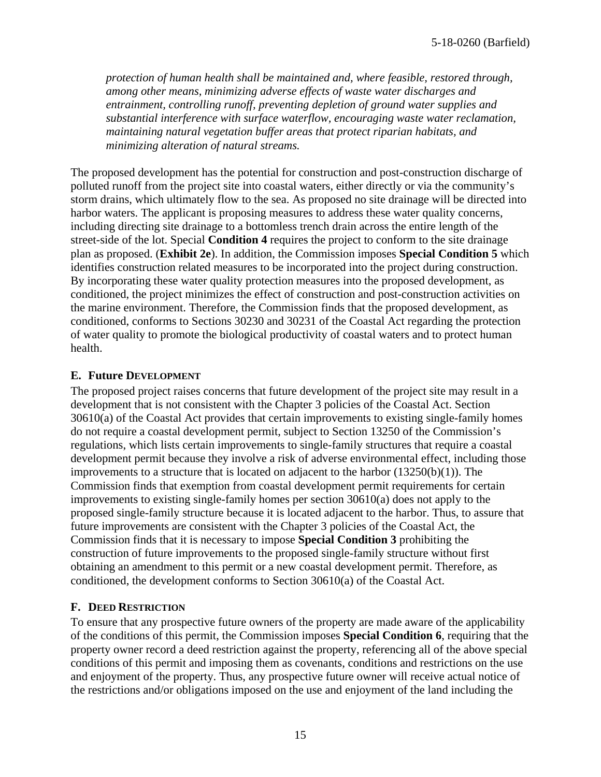*protection of human health shall be maintained and, where feasible, restored through, among other means, minimizing adverse effects of waste water discharges and entrainment, controlling runoff, preventing depletion of ground water supplies and substantial interference with surface waterflow, encouraging waste water reclamation, maintaining natural vegetation buffer areas that protect riparian habitats, and minimizing alteration of natural streams.* 

The proposed development has the potential for construction and post-construction discharge of polluted runoff from the project site into coastal waters, either directly or via the community's storm drains, which ultimately flow to the sea. As proposed no site drainage will be directed into harbor waters. The applicant is proposing measures to address these water quality concerns, including directing site drainage to a bottomless trench drain across the entire length of the street-side of the lot. Special **Condition 4** requires the project to conform to the site drainage plan as proposed. (**Exhibit 2e**). In addition, the Commission imposes **Special Condition 5** which identifies construction related measures to be incorporated into the project during construction. By incorporating these water quality protection measures into the proposed development, as conditioned, the project minimizes the effect of construction and post-construction activities on the marine environment. Therefore, the Commission finds that the proposed development, as conditioned, conforms to Sections 30230 and 30231 of the Coastal Act regarding the protection of water quality to promote the biological productivity of coastal waters and to protect human health.

#### **E. Future DEVELOPMENT**

The proposed project raises concerns that future development of the project site may result in a development that is not consistent with the Chapter 3 policies of the Coastal Act. Section 30610(a) of the Coastal Act provides that certain improvements to existing single-family homes do not require a coastal development permit, subject to Section 13250 of the Commission's regulations, which lists certain improvements to single-family structures that require a coastal development permit because they involve a risk of adverse environmental effect, including those improvements to a structure that is located on adjacent to the harbor  $(13250(b)(1))$ . The Commission finds that exemption from coastal development permit requirements for certain improvements to existing single-family homes per section 30610(a) does not apply to the proposed single-family structure because it is located adjacent to the harbor. Thus, to assure that future improvements are consistent with the Chapter 3 policies of the Coastal Act, the Commission finds that it is necessary to impose **Special Condition 3** prohibiting the construction of future improvements to the proposed single-family structure without first obtaining an amendment to this permit or a new coastal development permit. Therefore, as conditioned, the development conforms to Section 30610(a) of the Coastal Act.

### **F. DEED RESTRICTION**

To ensure that any prospective future owners of the property are made aware of the applicability of the conditions of this permit, the Commission imposes **Special Condition 6**, requiring that the property owner record a deed restriction against the property, referencing all of the above special conditions of this permit and imposing them as covenants, conditions and restrictions on the use and enjoyment of the property. Thus, any prospective future owner will receive actual notice of the restrictions and/or obligations imposed on the use and enjoyment of the land including the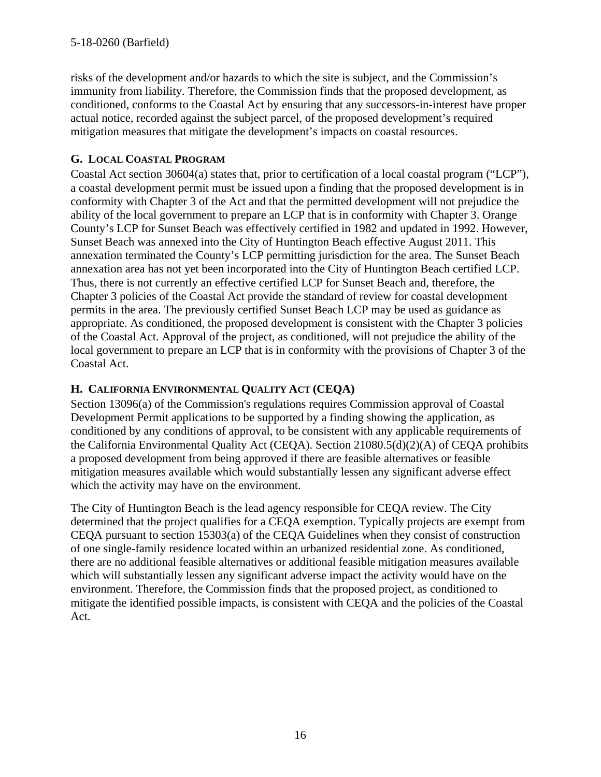risks of the development and/or hazards to which the site is subject, and the Commission's immunity from liability. Therefore, the Commission finds that the proposed development, as conditioned, conforms to the Coastal Act by ensuring that any successors-in-interest have proper actual notice, recorded against the subject parcel, of the proposed development's required mitigation measures that mitigate the development's impacts on coastal resources.

# **G. LOCAL COASTAL PROGRAM**

Coastal Act section 30604(a) states that, prior to certification of a local coastal program ("LCP"), a coastal development permit must be issued upon a finding that the proposed development is in conformity with Chapter 3 of the Act and that the permitted development will not prejudice the ability of the local government to prepare an LCP that is in conformity with Chapter 3. Orange County's LCP for Sunset Beach was effectively certified in 1982 and updated in 1992. However, Sunset Beach was annexed into the City of Huntington Beach effective August 2011. This annexation terminated the County's LCP permitting jurisdiction for the area. The Sunset Beach annexation area has not yet been incorporated into the City of Huntington Beach certified LCP. Thus, there is not currently an effective certified LCP for Sunset Beach and, therefore, the Chapter 3 policies of the Coastal Act provide the standard of review for coastal development permits in the area. The previously certified Sunset Beach LCP may be used as guidance as appropriate. As conditioned, the proposed development is consistent with the Chapter 3 policies of the Coastal Act. Approval of the project, as conditioned, will not prejudice the ability of the local government to prepare an LCP that is in conformity with the provisions of Chapter 3 of the Coastal Act.

## **H. CALIFORNIA ENVIRONMENTAL QUALITY ACT (CEQA)**

Section 13096(a) of the Commission's regulations requires Commission approval of Coastal Development Permit applications to be supported by a finding showing the application, as conditioned by any conditions of approval, to be consistent with any applicable requirements of the California Environmental Quality Act (CEQA). Section 21080.5(d)(2)(A) of CEQA prohibits a proposed development from being approved if there are feasible alternatives or feasible mitigation measures available which would substantially lessen any significant adverse effect which the activity may have on the environment.

The City of Huntington Beach is the lead agency responsible for CEQA review. The City determined that the project qualifies for a CEQA exemption. Typically projects are exempt from CEQA pursuant to section 15303(a) of the CEQA Guidelines when they consist of construction of one single-family residence located within an urbanized residential zone. As conditioned, there are no additional feasible alternatives or additional feasible mitigation measures available which will substantially lessen any significant adverse impact the activity would have on the environment. Therefore, the Commission finds that the proposed project, as conditioned to mitigate the identified possible impacts, is consistent with CEQA and the policies of the Coastal Act.